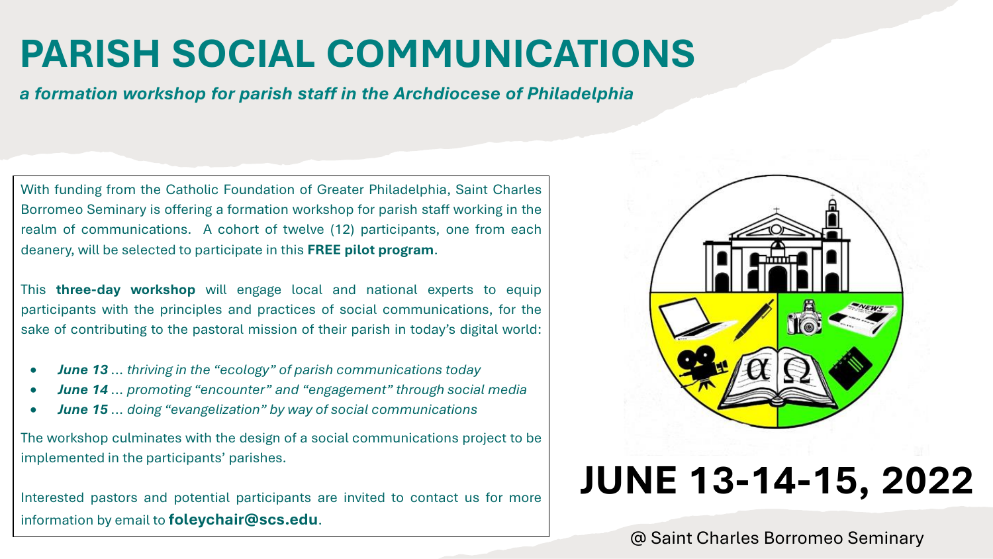# **PARISH SOCIAL COMMUNICATIONS**

*a formation workshop for parish staff in the Archdiocese of Philadelphia*

With funding from the Catholic Foundation of Greater Philadelphia, Saint Charles Borromeo Seminary is offering a formation workshop for parish staff working in the realm of communications. A cohort of twelve (12) participants, one from each deanery, will be selected to participate in this **FREE pilot program**.

This **three-day workshop** will engage local and national experts to equip participants with the principles and practices of social communications, for the sake of contributing to the pastoral mission of their parish in today's digital world:

- *June 13 ... thriving in the "ecology" of parish communications today*
- *June 14 ... promoting "encounter" and "engagement" through social media*
- *June 15 ... doing "evangelization" by way of social communications*

The workshop culminates with the design of a social communications project to be implemented in the participants' parishes.

Interested pastors and potential participants are invited to contact us for more information by email to **foleychair@scs.edu**.



# **JUNE 13-14-15, 2022**

@ Saint Charles Borromeo Seminary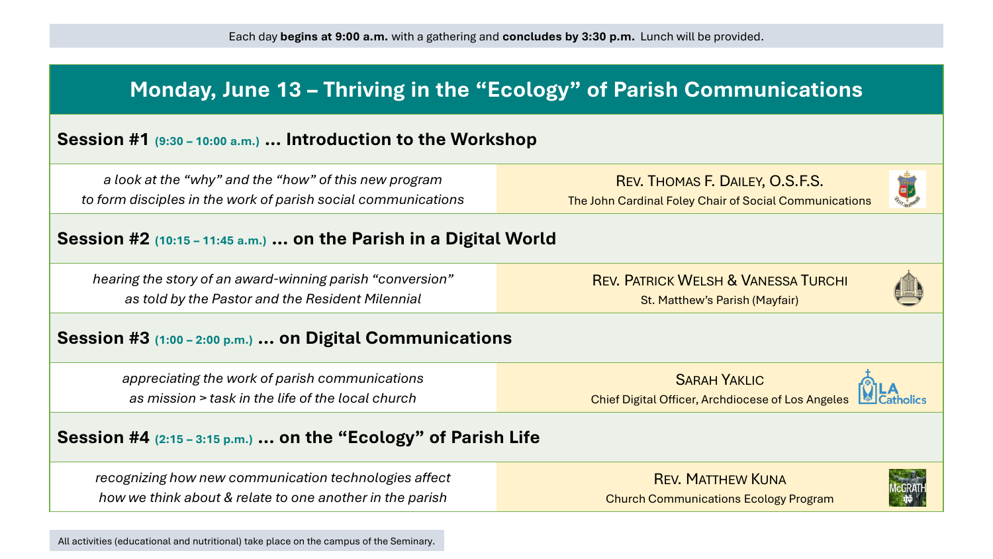| Monday, June 13 - Thriving in the "Ecology" of Parish Communications                                                   |                                                                                           |  |
|------------------------------------------------------------------------------------------------------------------------|-------------------------------------------------------------------------------------------|--|
| Session #1 (9:30 – 10:00 a.m.)  Introduction to the Workshop                                                           |                                                                                           |  |
| a look at the "why" and the "how" of this new program<br>to form disciples in the work of parish social communications | REV. THOMAS F. DAILEY, O.S.F.S.<br>The John Cardinal Foley Chair of Social Communications |  |
| Session #2 (10:15 - 11:45 a.m.)  on the Parish in a Digital World                                                      |                                                                                           |  |
| hearing the story of an award-winning parish "conversion"<br>as told by the Pastor and the Resident Milennial          | <b>REV. PATRICK WELSH &amp; VANESSA TURCHI</b><br>St. Matthew's Parish (Mayfair)          |  |
| Session #3 (1:00 – 2:00 p.m.)  on Digital Communications                                                               |                                                                                           |  |
| appreciating the work of parish communications<br>as mission > task in the life of the local church                    | <b>SARAH YAKLIC</b><br><b>Chief Digital Officer, Archdiocese of Los Angeles</b>           |  |
| Session $#4$ $(2:15 - 3:15 p.m.)$ on the "Ecology" of Parish Life                                                      |                                                                                           |  |
| recognizing how new communication technologies affect<br>how we think about & relate to one another in the parish      | <b>REV. MATTHEW KUNA</b><br><b>Church Communications Ecology Program</b>                  |  |

All activities (educational and nutritional) take place on the campus of the Seminary.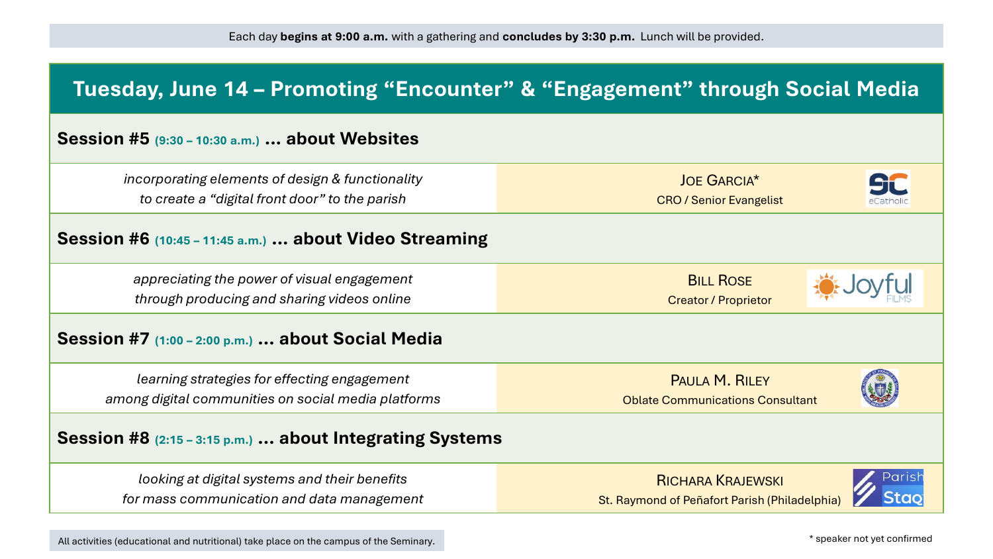| Tuesday, June 14 - Promoting "Encounter" & "Engagement" through Social Media                        |                                                                           |
|-----------------------------------------------------------------------------------------------------|---------------------------------------------------------------------------|
| Session #5 (9:30 - 10:30 a.m.)  about Websites                                                      |                                                                           |
| incorporating elements of design & functionality<br>to create a "digital front door" to the parish  | <b>JOE GARCIA*</b><br>St C<br><b>CRO / Senior Evangelist</b>              |
| Session #6 (10:45 – 11:45 a.m.)  about Video Streaming                                              |                                                                           |
| appreciating the power of visual engagement<br>through producing and sharing videos online          | <b>BILL ROSE</b><br><b>Creator / Proprietor</b>                           |
| Session #7 $(1:00 - 2:00 p.m.)$ about Social Media                                                  |                                                                           |
| learning strategies for effecting engagement<br>among digital communities on social media platforms | <b>PAULA M. RILEY</b><br><b>Oblate Communications Consultant</b>          |
| Session $#8$ $(2:15 - 3:15 p.m.)$ about Integrating Systems                                         |                                                                           |
| looking at digital systems and their benefits<br>for mass communication and data management         | <b>RICHARA KRAJEWSKI</b><br>St. Raymond of Peñafort Parish (Philadelphia) |

All activities (educational and nutritional) take place on the campus of the Seminary.

\* speaker not yet confirmed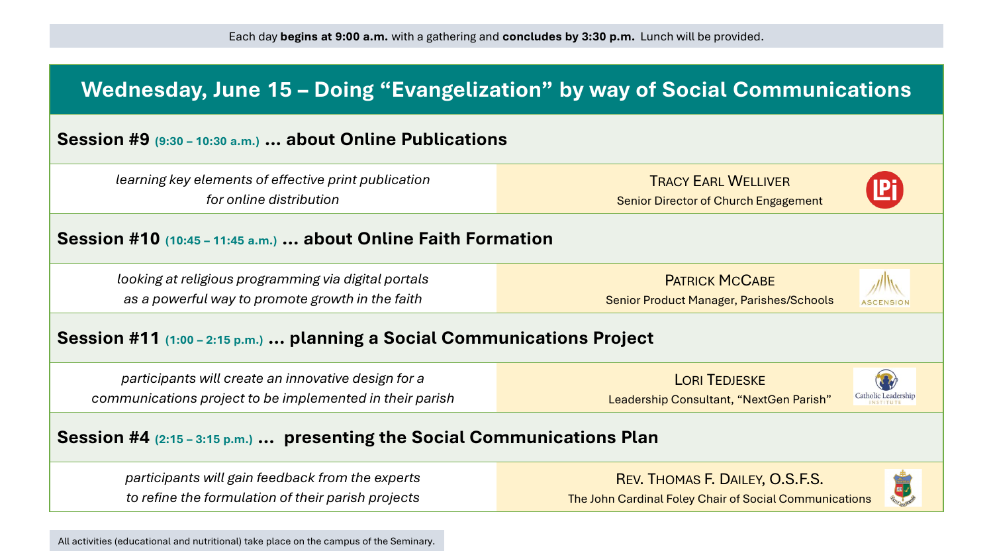

All activities (educational and nutritional) take place on the campus of the Seminary.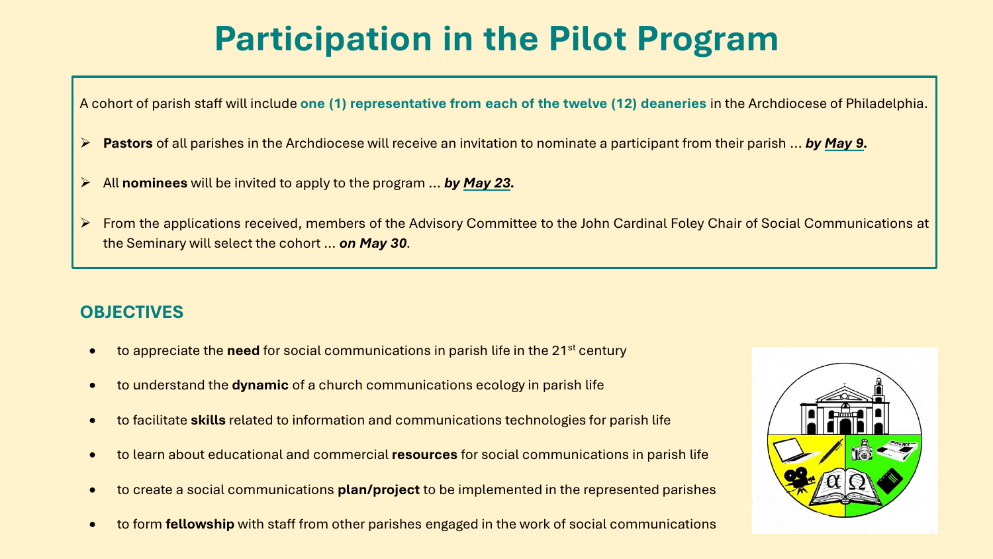## **Participation in the Pilot Program**

A cohort of parish staff will include **one (1) representative from each of the twelve (12) deaneries** in the Archdiocese of Philadelphia.

- ➢ **Pastors** of all parishes in the Archdiocese will receive an invitation to nominate a participant from their parish ... *by May 9.*
- ➢ All **nominees** will be invited to apply to the program ... *by May 23.*
- ➢ From the applications received, members of the Advisory Committee to the John Cardinal Foley Chair of Social Communications at the Seminary will select the cohort ... *on May 30.*

### **OBJECTIVES**

- to appreciate the **need** for social communications in parish life in the 21<sup>st</sup> century
- to understand the **dynamic** of a church communications ecology in parish life
- to facilitate **skills** related to information and communications technologies for parish life
- to learn about educational and commercial **resources** for social communications in parish life
- to create a social communications **plan/project** to be implemented in the represented parishes
- to form **fellowship** with staff from other parishes engaged in the work of social communications